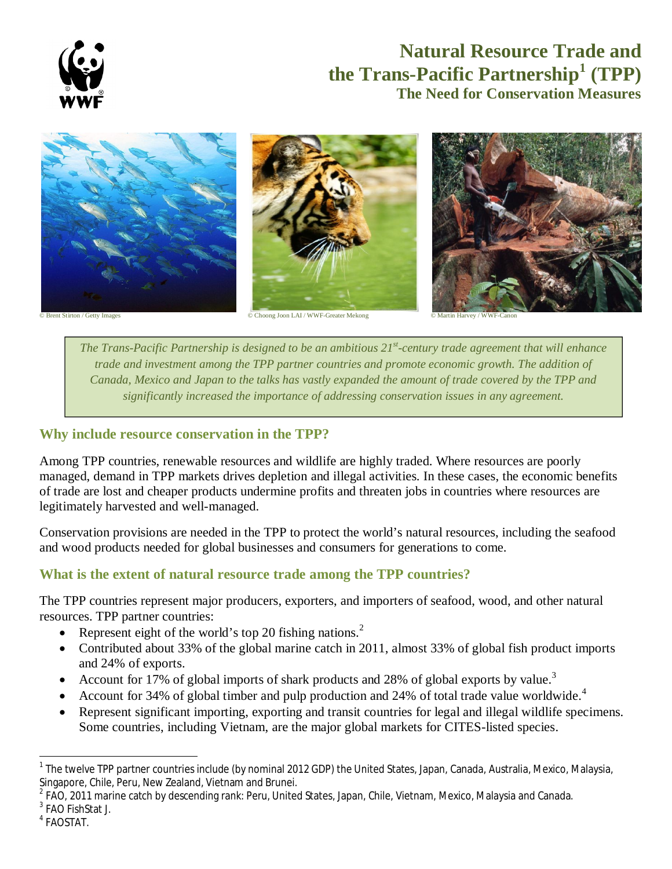

# **Natural Resource Trade and the Trans-Pacific Partnership<sup>1</sup> (TPP) The Need for Conservation Measures**



© Choong Joon LAI / WWF-Greater Mekong

© Martin Harvey / WWF-Canon

*The Trans-Pacific Partnership is designed to be an ambitious 21st -century trade agreement that will enhance trade and investment among the TPP partner countries and promote economic growth. The addition of Canada, Mexico and Japan to the talks has vastly expanded the amount of trade covered by the TPP and significantly increased the importance of addressing conservation issues in any agreement.*

## **Why include resource conservation in the TPP?**

Among TPP countries, renewable resources and wildlife are highly traded. Where resources are poorly managed, demand in TPP markets drives depletion and illegal activities. In these cases, the economic benefits of trade are lost and cheaper products undermine profits and threaten jobs in countries where resources are legitimately harvested and well-managed.

Conservation provisions are needed in the TPP to protect the world's natural resources, including the seafood and wood products needed for global businesses and consumers for generations to come.

## **What is the extent of natural resource trade among the TPP countries?**

The TPP countries represent major producers, exporters, and importers of seafood, wood, and other natural resources. TPP partner countries:

- Represent eight of the world's top 20 fishing nations.<sup>2</sup>
- Contributed about 33% of the global marine catch in 2011, almost 33% of global fish product imports and 24% of exports.
- Account for 17% of global imports of shark products and 28% of global exports by value.<sup>3</sup>
- Account for 34% of global timber and pulp production and 24% of total trade value worldwide.<sup>4</sup>
- Represent significant importing, exporting and transit countries for legal and illegal wildlife specimens. Some countries, including Vietnam, are the major global markets for CITES-listed species.

**.** 

<sup>&</sup>lt;sup>1</sup> The twelve TPP partner countries include (by nominal 2012 GDP) the United States, Japan, Canada, Australia, Mexico, Malaysia, Singapore, Chile, Peru, New Zealand, Vietnam and Brunei.

 $^2$  FAO, 2011 marine catch by descending rank: Peru, United States, Japan, Chile, Vietnam, Mexico, Malaysia and Canada.

<sup>&</sup>lt;sup>3</sup> FAO FishStat J.

<sup>4</sup> FAOSTAT.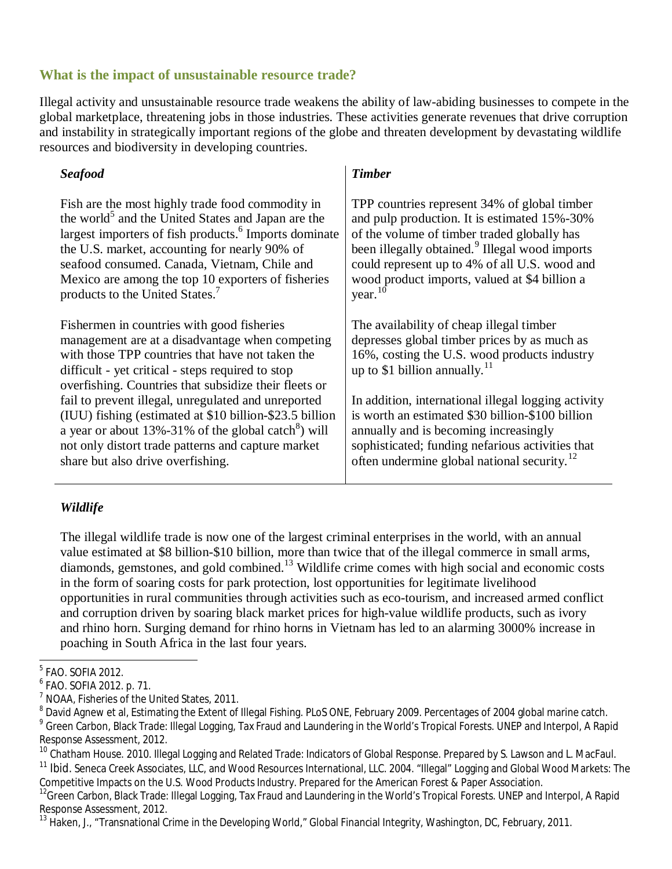## **What is the impact of unsustainable resource trade?**

Illegal activity and unsustainable resource trade weakens the ability of law-abiding businesses to compete in the global marketplace, threatening jobs in those industries. These activities generate revenues that drive corruption and instability in strategically important regions of the globe and threaten development by devastating wildlife resources and biodiversity in developing countries.

*Timber* 

#### *Seafood*

| Fish are the most highly trade food commodity in                                                                                                                                                                                                                | TPP countries represent 34% of global timber                                                                                                                                         |
|-----------------------------------------------------------------------------------------------------------------------------------------------------------------------------------------------------------------------------------------------------------------|--------------------------------------------------------------------------------------------------------------------------------------------------------------------------------------|
| the world <sup>3</sup> and the United States and Japan are the                                                                                                                                                                                                  | and pulp production. It is estimated 15%-30%                                                                                                                                         |
| largest importers of fish products. <sup>6</sup> Imports dominate                                                                                                                                                                                               | of the volume of timber traded globally has                                                                                                                                          |
| the U.S. market, accounting for nearly 90% of                                                                                                                                                                                                                   | been illegally obtained. <sup>9</sup> Illegal wood imports                                                                                                                           |
| seafood consumed. Canada, Vietnam, Chile and                                                                                                                                                                                                                    | could represent up to 4% of all U.S. wood and                                                                                                                                        |
| Mexico are among the top 10 exporters of fisheries                                                                                                                                                                                                              | wood product imports, valued at \$4 billion a                                                                                                                                        |
| products to the United States. <sup>7</sup>                                                                                                                                                                                                                     | year. $10$                                                                                                                                                                           |
| Fishermen in countries with good fisheries<br>management are at a disadvantage when competing<br>with those TPP countries that have not taken the<br>difficult - yet critical - steps required to stop<br>overfishing. Countries that subsidize their fleets or | The availability of cheap illegal timber<br>depresses global timber prices by as much as<br>16%, costing the U.S. wood products industry<br>up to \$1 billion annually. <sup>1</sup> |
| fail to prevent illegal, unregulated and unreported                                                                                                                                                                                                             | In addition, international illegal logging activity                                                                                                                                  |
| (IUU) fishing (estimated at \$10 billion-\$23.5 billion                                                                                                                                                                                                         | is worth an estimated \$30 billion-\$100 billion                                                                                                                                     |
| a year or about $13\% - 31\%$ of the global catch <sup>8</sup> ) will                                                                                                                                                                                           | annually and is becoming increasingly                                                                                                                                                |
| not only distort trade patterns and capture market                                                                                                                                                                                                              | sophisticated; funding nefarious activities that                                                                                                                                     |
| share but also drive overfishing.                                                                                                                                                                                                                               | often undermine global national security. <sup>12</sup>                                                                                                                              |

### *Wildlife*

The illegal wildlife trade is now one of the largest criminal enterprises in the world, with an annual value estimated at \$8 billion-\$10 billion, more than twice that of the illegal commerce in small arms, diamonds, gemstones, and gold combined.<sup>13</sup> Wildlife crime comes with high social and economic costs in the form of soaring costs for park protection, lost opportunities for legitimate livelihood opportunities in rural communities through activities such as eco-tourism, and increased armed conflict and corruption driven by soaring black market prices for high-value wildlife products, such as ivory and rhino horn. Surging demand for rhino horns in Vietnam has led to an alarming 3000% increase in poaching in South Africa in the last four years.

<sup>&</sup>lt;u>5</u><br>FAO. SOFIA 2012.

<sup>6</sup> FAO. SOFIA 2012. p. 71.

<sup>&</sup>lt;sup>7</sup> NOAA, Fisheries of the United States, 2011.

 $^8$  David Agnew et al, Estimating the Extent of Illegal Fishing. PLoS ONE, February 2009. Percentages of 2004 global marine catch. <sup>9</sup> Green Carbon, Black Trade: Illegal Logging, Tax Fraud and Laundering in the World's Tropical Forests. UNEP and Interpol, A Rapid Response Assessment, 2012.

<sup>&</sup>lt;sup>10</sup> Chatham House. 2010. Illegal Logging and Related Trade: Indicators of Global Response. Prepared by S. Lawson and L. MacFaul. <sup>11</sup> Ibid. Seneca Creek Associates, LLC, and Wood Resources International, LLC. 2004. "Illegal" Logging and Global Wood Markets: The Competitive Impacts on the U.S. Wood Products Industry. Prepared for the American Forest & Paper Association.

<sup>&</sup>lt;sup>12</sup>Green Carbon, Black Trade: Illegal Logging, Tax Fraud and Laundering in the World's Tropical Forests. UNEP and Interpol, A Rapid Response Assessment, 2012.

<sup>&</sup>lt;sup>13</sup> Haken, J., "Transnational Crime in the Developing World," Global Financial Integrity, Washington, DC, February, 2011.